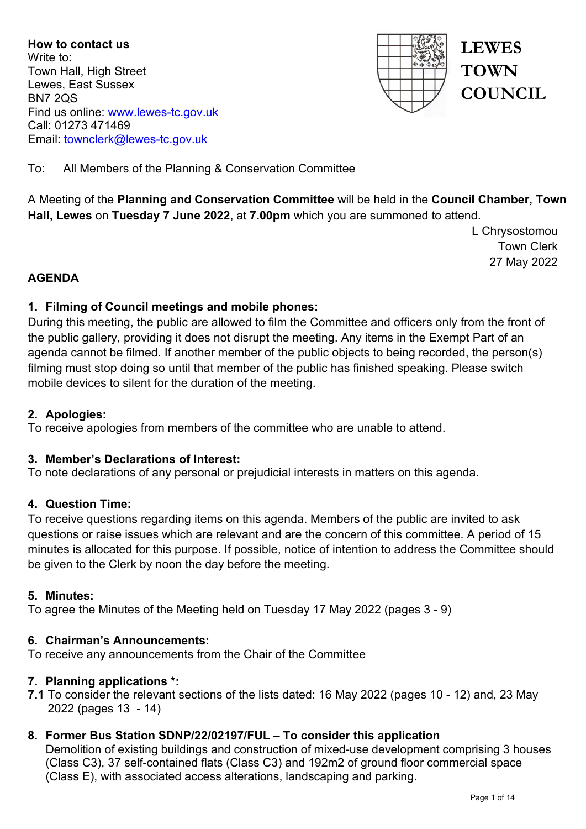**How to contact us** Write to: Town Hall, High Street Lewes, East Sussex BN7 2QS Find us online: [www.lewes-tc.gov.uk](http://www.lewes-tc.gov.uk/) Call: 01273 471469 Email: [townclerk@lewes-tc.gov.uk](mailto:townclerk@lewes-tc.gov.uk)



**LEWES TOWN COUNCIL** 

To: All Members of the Planning & Conservation Committee

A Meeting of the **Planning and Conservation Committee** will be held in the **Council Chamber, Town Hall, Lewes** on **Tuesday 7 June 2022**, at **7.00pm** which you are summoned to attend.

> L Chrysostomou Town Clerk 27 May 2022

# **AGENDA**

## **1. Filming of Council meetings and mobile phones:**

During this meeting, the public are allowed to film the Committee and officers only from the front of the public gallery, providing it does not disrupt the meeting. Any items in the Exempt Part of an agenda cannot be filmed. If another member of the public objects to being recorded, the person(s) filming must stop doing so until that member of the public has finished speaking. Please switch mobile devices to silent for the duration of the meeting.

## **2. Apologies:**

To receive apologies from members of the committee who are unable to attend.

## **3. Member's Declarations of Interest:**

To note declarations of any personal or prejudicial interests in matters on this agenda.

## **4. Question Time:**

To receive questions regarding items on this agenda. Members of the public are invited to ask questions or raise issues which are relevant and are the concern of this committee. A period of 15 minutes is allocated for this purpose. If possible, notice of intention to address the Committee should be given to the Clerk by noon the day before the meeting.

## **5. Minutes:**

To agree the Minutes of the Meeting held on Tuesday 17 May 2022 (pages 3 - 9)

## **6. Chairman's Announcements:**

To receive any announcements from the Chair of the Committee

## **7. Planning applications \*:**

**7.1** To consider the relevant sections of the lists dated: 16 May 2022 (pages 10 - 12) and, 23 May 2022 (pages 13 - 14)

# **8. Former Bus Station SDNP/22/02197/FUL – To consider this application**

Demolition of existing buildings and construction of mixed-use development comprising 3 houses (Class C3), 37 self-contained flats (Class C3) and 192m2 of ground floor commercial space (Class E), with associated access alterations, landscaping and parking.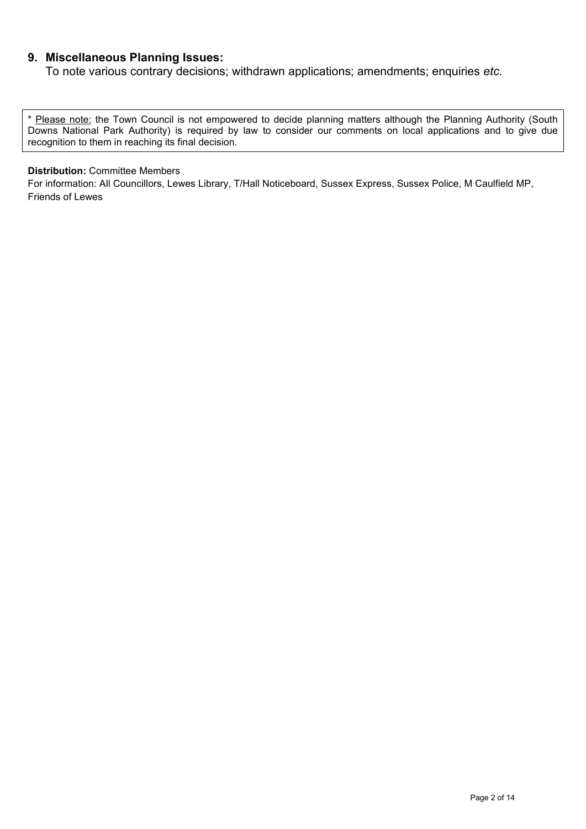### **9. Miscellaneous Planning Issues:**

To note various contrary decisions; withdrawn applications; amendments; enquiries *etc.*

\* Please note: the Town Council is not empowered to decide planning matters although the Planning Authority (South Downs National Park Authority) is required by law to consider our comments on local applications and to give due recognition to them in reaching its final decision.

#### **Distribution:** Committee Members

For information: All Councillors, Lewes Library, T/Hall Noticeboard, Sussex Express, Sussex Police, M Caulfield MP, Friends of Lewes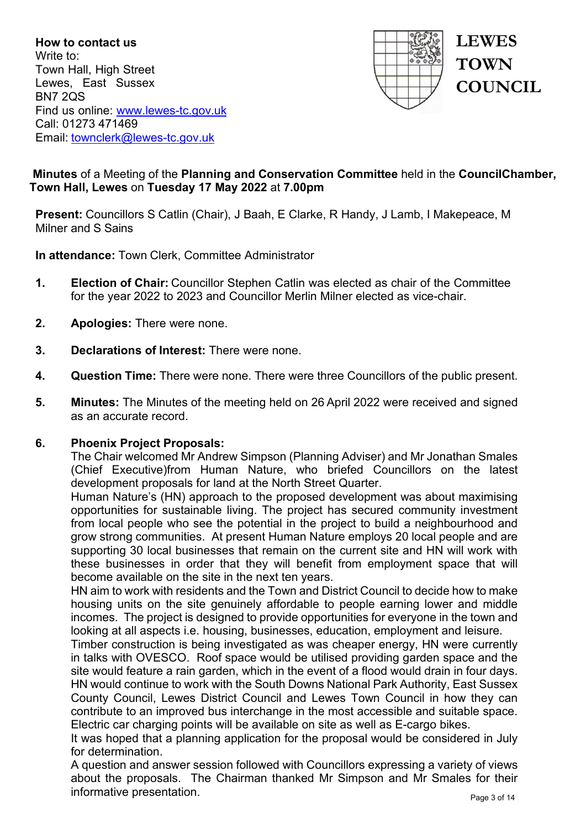**How to contact us** Write to: Town Hall, High Street Lewes, East Sussex BN7 2QS Find us online: [www.lewes-tc.gov.uk](http://www.lewes-tc.gov.uk/) Call: 01273 471469 Email: [townclerk@lewes-tc.gov.uk](mailto:townclerk@lewes-tc.gov.uk)



# **Minutes** of a Meeting of the **Planning and Conservation Committee** held in the **CouncilChamber, Town Hall, Lewes** on **Tuesday 17 May 2022** at **7.00pm**

**Present:** Councillors S Catlin (Chair), J Baah, E Clarke, R Handy, J Lamb, I Makepeace, M Milner and S Sains

**In attendance:** Town Clerk, Committee Administrator

- **1. Election of Chair:** Councillor Stephen Catlin was elected as chair of the Committee for the year 2022 to 2023 and Councillor Merlin Milner elected as vice-chair.
- **2. Apologies:** There were none.
- **3. Declarations of Interest:** There were none.
- **4. Question Time:** There were none. There were three Councillors of the public present.
- **5. Minutes:** The Minutes of the meeting held on 26 April 2022 were received and signed as an accurate record.

#### **6. Phoenix Project Proposals:**

The Chair welcomed Mr Andrew Simpson (Planning Adviser) and Mr Jonathan Smales (Chief Executive)from Human Nature, who briefed Councillors on the latest development proposals for land at the North Street Quarter.

Human Nature's (HN) approach to the proposed development was about maximising opportunities for sustainable living. The project has secured community investment from local people who see the potential in the project to build a neighbourhood and grow strong communities. At present Human Nature employs 20 local people and are supporting 30 local businesses that remain on the current site and HN will work with these businesses in order that they will benefit from employment space that will become available on the site in the next ten years.

HN aim to work with residents and the Town and District Council to decide how to make housing units on the site genuinely affordable to people earning lower and middle incomes. The project is designed to provide opportunities for everyone in the town and looking at all aspects i.e. housing, businesses, education, employment and leisure.

Timber construction is being investigated as was cheaper energy, HN were currently in talks with OVESCO. Roof space would be utilised providing garden space and the site would feature a rain garden, which in the event of a flood would drain in four days. HN would continue to work with the South Downs National Park Authority, East Sussex County Council, Lewes District Council and Lewes Town Council in how they can contribute to an improved bus interchange in the most accessible and suitable space. Electric car charging points will be available on site as well as E-cargo bikes.

It was hoped that a planning application for the proposal would be considered in July for determination.

A question and answer session followed with Councillors expressing a variety of views about the proposals. The Chairman thanked Mr Simpson and Mr Smales for their informative presentation.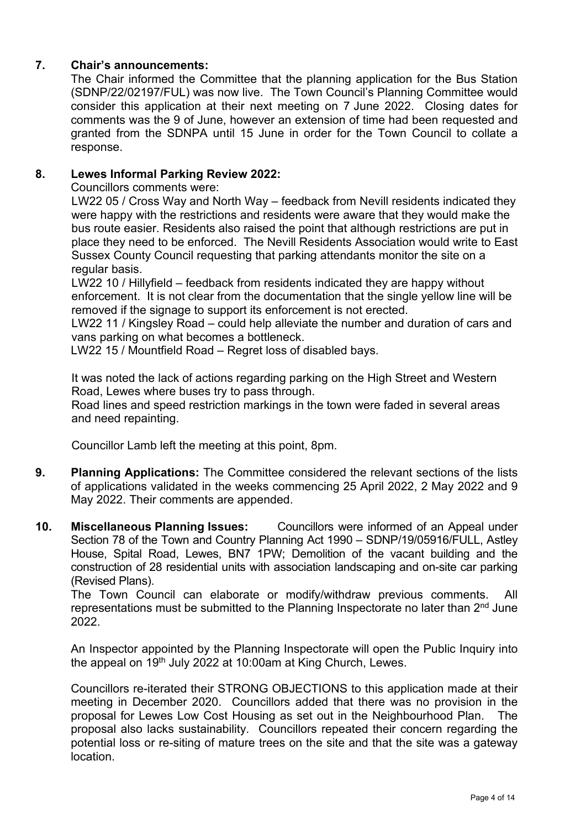# **7. Chair's announcements:**

The Chair informed the Committee that the planning application for the Bus Station (SDNP/22/02197/FUL) was now live. The Town Council's Planning Committee would consider this application at their next meeting on 7 June 2022. Closing dates for comments was the 9 of June, however an extension of time had been requested and granted from the SDNPA until 15 June in order for the Town Council to collate a response.

## **8. Lewes Informal Parking Review 2022:**

Councillors comments were:

LW22 05 / Cross Way and North Way – feedback from Nevill residents indicated they were happy with the restrictions and residents were aware that they would make the bus route easier. Residents also raised the point that although restrictions are put in place they need to be enforced. The Nevill Residents Association would write to East Sussex County Council requesting that parking attendants monitor the site on a regular basis.

LW22 10 / Hillyfield – feedback from residents indicated they are happy without enforcement. It is not clear from the documentation that the single yellow line will be removed if the signage to support its enforcement is not erected.

LW22 11 / Kingsley Road – could help alleviate the number and duration of cars and vans parking on what becomes a bottleneck.

LW22 15 / Mountfield Road – Regret loss of disabled bays.

It was noted the lack of actions regarding parking on the High Street and Western Road, Lewes where buses try to pass through.

Road lines and speed restriction markings in the town were faded in several areas and need repainting.

Councillor Lamb left the meeting at this point, 8pm.

- **9. Planning Applications:** The Committee considered the relevant sections of the lists of applications validated in the weeks commencing 25 April 2022, 2 May 2022 and 9 May 2022. Their comments are appended.
- **10. Miscellaneous Planning Issues:** Councillors were informed of an Appeal under Section 78 of the Town and Country Planning Act 1990 – SDNP/19/05916/FULL, Astley House, Spital Road, Lewes, BN7 1PW; Demolition of the vacant building and the construction of 28 residential units with association landscaping and on-site car parking (Revised Plans).

The Town Council can elaborate or modify/withdraw previous comments. All representations must be submitted to the Planning Inspectorate no later than 2<sup>nd</sup> June 2022.

An Inspector appointed by the Planning Inspectorate will open the Public Inquiry into the appeal on 19<sup>th</sup> July 2022 at 10:00am at King Church, Lewes.

Councillors re-iterated their STRONG OBJECTIONS to this application made at their meeting in December 2020. Councillors added that there was no provision in the proposal for Lewes Low Cost Housing as set out in the Neighbourhood Plan. The proposal also lacks sustainability. Councillors repeated their concern regarding the potential loss or re-siting of mature trees on the site and that the site was a gateway location.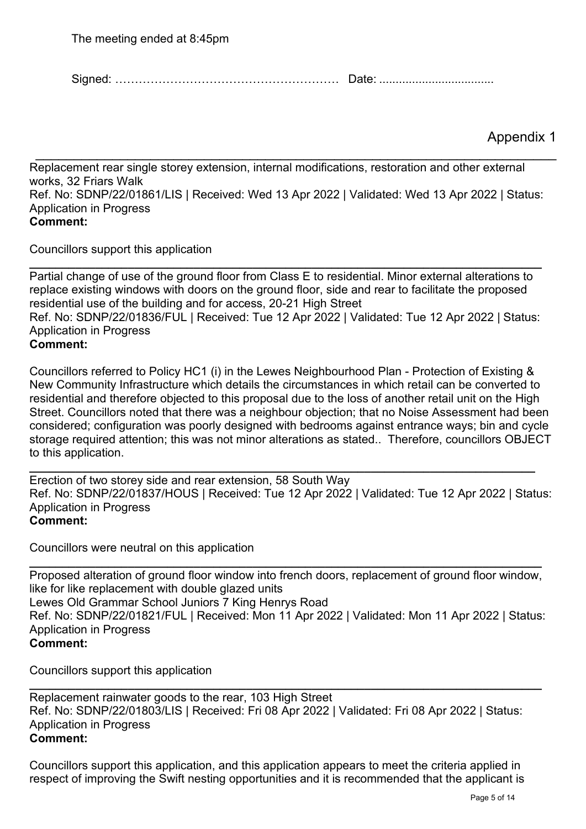Signed: ………………………………………………… Date: ...................................

Appendix 1

Replacement rear single storey extension, internal modifications, restoration and other external works, 32 Friars Walk Ref. No: SDNP/22/01861/LIS | Received: Wed 13 Apr 2022 | Validated: Wed 13 Apr 2022 | Status: Application in Progress **Comment:**

\_\_\_\_\_\_\_\_\_\_\_\_\_\_\_\_\_\_\_\_\_\_\_\_\_\_\_\_\_\_\_\_\_\_\_\_\_\_\_\_\_\_\_\_\_\_\_\_\_\_\_\_\_\_\_\_\_\_\_\_\_\_\_\_\_\_\_\_

Councillors support this application

**\_\_\_\_\_\_\_\_\_\_\_\_\_\_\_\_\_\_\_\_\_\_\_\_\_\_\_\_\_\_\_\_\_\_\_\_\_\_\_\_\_\_\_\_\_\_\_\_\_\_\_\_\_\_\_\_\_\_\_\_\_\_\_\_\_\_\_\_\_\_\_\_\_\_\_\_\_\_** Partial change of use of the ground floor from Class E to residential. Minor external alterations to replace existing windows with doors on the ground floor, side and rear to facilitate the proposed residential use of the building and for access, 20-21 High Street Ref. No: SDNP/22/01836/FUL | Received: Tue 12 Apr 2022 | Validated: Tue 12 Apr 2022 | Status: Application in Progress **Comment:**

Councillors referred to Policy HC1 (i) in the Lewes Neighbourhood Plan - Protection of Existing & New Community Infrastructure which details the circumstances in which retail can be converted to residential and therefore objected to this proposal due to the loss of another retail unit on the High Street. Councillors noted that there was a neighbour objection; that no Noise Assessment had been considered; configuration was poorly designed with bedrooms against entrance ways; bin and cycle storage required attention; this was not minor alterations as stated.. Therefore, councillors OBJECT to this application.

Erection of two storey side and rear extension, 58 South Way Ref. No: SDNP/22/01837/HOUS | Received: Tue 12 Apr 2022 | Validated: Tue 12 Apr 2022 | Status: Application in Progress **Comment:**

**\_\_\_\_\_\_\_\_\_\_\_\_\_\_\_\_\_\_\_\_\_\_\_\_\_\_\_\_\_\_\_\_\_\_\_\_\_\_\_\_\_\_\_\_\_\_\_\_\_\_\_\_\_\_\_\_\_\_\_\_\_\_\_\_\_\_\_\_\_\_\_\_\_\_\_\_\_**

Councillors were neutral on this application

**\_\_\_\_\_\_\_\_\_\_\_\_\_\_\_\_\_\_\_\_\_\_\_\_\_\_\_\_\_\_\_\_\_\_\_\_\_\_\_\_\_\_\_\_\_\_\_\_\_\_\_\_\_\_\_\_\_\_\_\_\_\_\_\_\_\_\_\_\_\_\_\_\_\_\_\_\_\_** Proposed alteration of ground floor window into french doors, replacement of ground floor window, like for like replacement with double glazed units Lewes Old Grammar School Juniors 7 King Henrys Road Ref. No: SDNP/22/01821/FUL | Received: Mon 11 Apr 2022 | Validated: Mon 11 Apr 2022 | Status: Application in Progress **Comment:**

Councillors support this application

Replacement rainwater goods to the rear, 103 High Street Ref. No: SDNP/22/01803/LIS | Received: Fri 08 Apr 2022 | Validated: Fri 08 Apr 2022 | Status: Application in Progress **Comment:**

**\_\_\_\_\_\_\_\_\_\_\_\_\_\_\_\_\_\_\_\_\_\_\_\_\_\_\_\_\_\_\_\_\_\_\_\_\_\_\_\_\_\_\_\_\_\_\_\_\_\_\_\_\_\_\_\_\_\_\_\_\_\_\_\_\_\_\_\_\_\_\_\_\_\_\_\_\_\_** 

Councillors support this application, and this application appears to meet the criteria applied in respect of improving the Swift nesting opportunities and it is recommended that the applicant is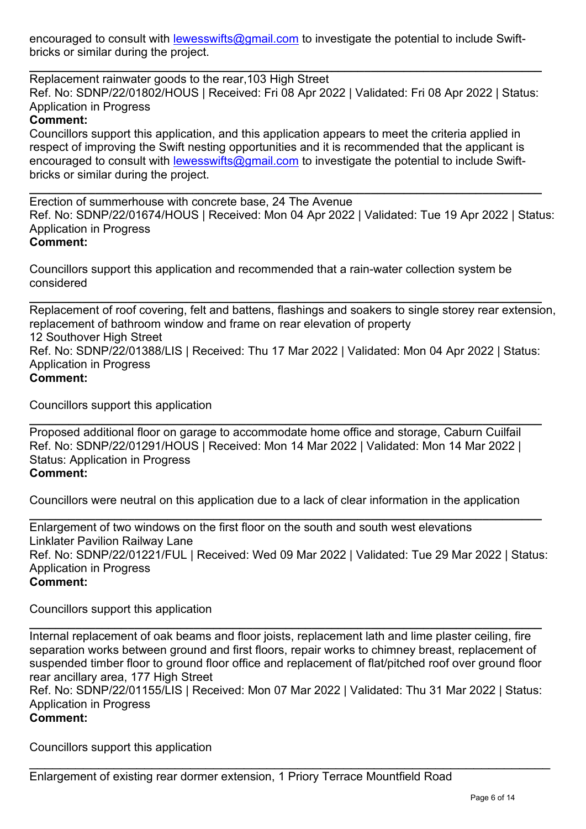encouraged to consult with [lewesswifts@gmail.com](mailto:lewesswifts@gmail.com) to investigate the potential to include Swiftbricks or similar during the project.

**\_\_\_\_\_\_\_\_\_\_\_\_\_\_\_\_\_\_\_\_\_\_\_\_\_\_\_\_\_\_\_\_\_\_\_\_\_\_\_\_\_\_\_\_\_\_\_\_\_\_\_\_\_\_\_\_\_\_\_\_\_\_\_\_\_\_\_\_\_\_\_\_\_\_\_\_\_\_** Replacement rainwater goods to the rear,103 High Street Ref. No: SDNP/22/01802/HOUS | Received: Fri 08 Apr 2022 | Validated: Fri 08 Apr 2022 | Status: Application in Progress

# **Comment:**

Councillors support this application, and this application appears to meet the criteria applied in respect of improving the Swift nesting opportunities and it is recommended that the applicant is encouraged to consult with [lewesswifts@gmail.com](mailto:lewesswifts@gmail.com) to investigate the potential to include Swiftbricks or similar during the project.

Erection of summerhouse with concrete base, 24 The Avenue Ref. No: SDNP/22/01674/HOUS | Received: Mon 04 Apr 2022 | Validated: Tue 19 Apr 2022 | Status: Application in Progress **Comment:**

**\_\_\_\_\_\_\_\_\_\_\_\_\_\_\_\_\_\_\_\_\_\_\_\_\_\_\_\_\_\_\_\_\_\_\_\_\_\_\_\_\_\_\_\_\_\_\_\_\_\_\_\_\_\_\_\_\_\_\_\_\_\_\_\_\_\_\_\_\_\_\_\_\_\_\_\_\_\_**

Councillors support this application and recommended that a rain-water collection system be considered

Replacement of roof covering, felt and battens, flashings and soakers to single storey rear extension, replacement of bathroom window and frame on rear elevation of property 12 Southover High Street Ref. No: SDNP/22/01388/LIS | Received: Thu 17 Mar 2022 | Validated: Mon 04 Apr 2022 | Status: Application in Progress **Comment:**

**\_\_\_\_\_\_\_\_\_\_\_\_\_\_\_\_\_\_\_\_\_\_\_\_\_\_\_\_\_\_\_\_\_\_\_\_\_\_\_\_\_\_\_\_\_\_\_\_\_\_\_\_\_\_\_\_\_\_\_\_\_\_\_\_\_\_\_\_\_\_\_\_\_\_\_\_\_\_**

Councillors support this application

**\_\_\_\_\_\_\_\_\_\_\_\_\_\_\_\_\_\_\_\_\_\_\_\_\_\_\_\_\_\_\_\_\_\_\_\_\_\_\_\_\_\_\_\_\_\_\_\_\_\_\_\_\_\_\_\_\_\_\_\_\_\_\_\_\_\_\_\_\_\_\_\_\_\_\_\_\_\_** Proposed additional floor on garage to accommodate home office and storage, Caburn Cuilfail Ref. No: SDNP/22/01291/HOUS | Received: Mon 14 Mar 2022 | Validated: Mon 14 Mar 2022 | Status: Application in Progress **Comment:**

Councillors were neutral on this application due to a lack of clear information in the application

**\_\_\_\_\_\_\_\_\_\_\_\_\_\_\_\_\_\_\_\_\_\_\_\_\_\_\_\_\_\_\_\_\_\_\_\_\_\_\_\_\_\_\_\_\_\_\_\_\_\_\_\_\_\_\_\_\_\_\_\_\_\_\_\_\_\_\_\_\_\_\_\_\_\_\_\_\_\_** Enlargement of two windows on the first floor on the south and south west elevations Linklater Pavilion Railway Lane Ref. No: SDNP/22/01221/FUL | Received: Wed 09 Mar 2022 | Validated: Tue 29 Mar 2022 | Status: Application in Progress **Comment:**

Councillors support this application

**\_\_\_\_\_\_\_\_\_\_\_\_\_\_\_\_\_\_\_\_\_\_\_\_\_\_\_\_\_\_\_\_\_\_\_\_\_\_\_\_\_\_\_\_\_\_\_\_\_\_\_\_\_\_\_\_\_\_\_\_\_\_\_\_\_\_\_\_\_\_\_\_\_\_\_\_\_\_** Internal replacement of oak beams and floor joists, replacement lath and lime plaster ceiling, fire separation works between ground and first floors, repair works to chimney breast, replacement of suspended timber floor to ground floor office and replacement of flat/pitched roof over ground floor rear ancillary area, 177 High Street

Ref. No: SDNP/22/01155/LIS | Received: Mon 07 Mar 2022 | Validated: Thu 31 Mar 2022 | Status: Application in Progress

\_\_\_\_\_\_\_\_\_\_\_\_\_\_\_\_\_\_\_\_\_\_\_\_\_\_\_\_\_\_\_\_\_\_\_\_\_\_\_\_\_\_\_\_\_\_\_\_\_\_\_\_\_\_\_\_\_\_\_\_\_\_\_\_\_\_\_\_

# **Comment:**

Councillors support this application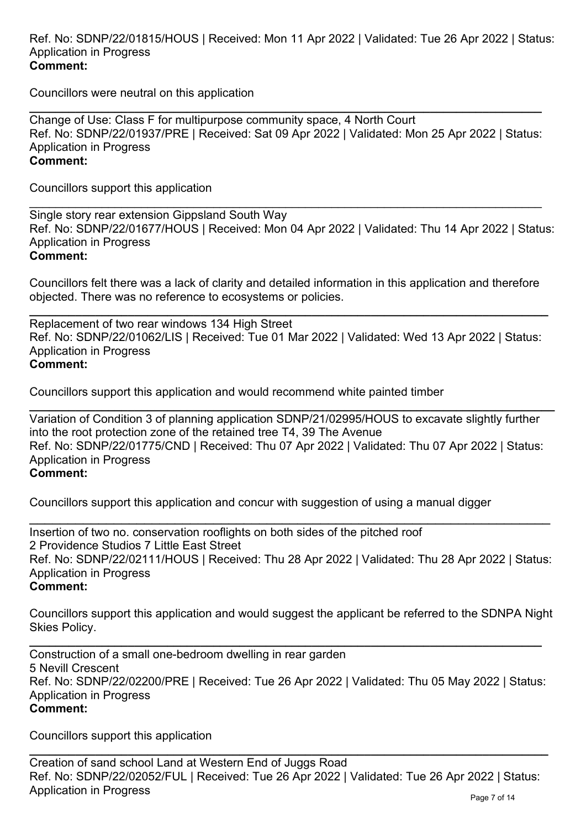Councillors were neutral on this application

**\_\_\_\_\_\_\_\_\_\_\_\_\_\_\_\_\_\_\_\_\_\_\_\_\_\_\_\_\_\_\_\_\_\_\_\_\_\_\_\_\_\_\_\_\_\_\_\_\_\_\_\_\_\_\_\_\_\_\_\_\_\_\_\_\_\_\_\_\_\_\_\_\_\_\_\_\_\_** Change of Use: Class F for multipurpose community space, 4 North Court Ref. No: SDNP/22/01937/PRE | Received: Sat 09 Apr 2022 | Validated: Mon 25 Apr 2022 | Status: Application in Progress **Comment:**

Councillors support this application

\_\_\_\_\_\_\_\_\_\_\_\_\_\_\_\_\_\_\_\_\_\_\_\_\_\_\_\_\_\_\_\_\_\_\_\_\_\_\_\_\_\_\_\_\_\_\_\_\_\_\_\_\_\_\_\_\_\_\_\_\_\_\_\_\_\_\_\_\_\_\_\_\_\_\_\_\_\_ Single story rear extension Gippsland South Way Ref. No: SDNP/22/01677/HOUS | Received: Mon 04 Apr 2022 | Validated: Thu 14 Apr 2022 | Status: Application in Progress **Comment:**

Councillors felt there was a lack of clarity and detailed information in this application and therefore objected. There was no reference to ecosystems or policies.

**\_\_\_\_\_\_\_\_\_\_\_\_\_\_\_\_\_\_\_\_\_\_\_\_\_\_\_\_\_\_\_\_\_\_\_\_\_\_\_\_\_\_\_\_\_\_\_\_\_\_\_\_\_\_\_\_\_\_\_\_\_\_\_\_\_\_\_\_\_\_\_\_\_\_\_\_\_\_\_**  Replacement of two rear windows 134 High Street Ref. No: SDNP/22/01062/LIS | Received: Tue 01 Mar 2022 | Validated: Wed 13 Apr 2022 | Status: Application in Progress **Comment:**

Councillors support this application and would recommend white painted timber

**\_\_\_\_\_\_\_\_\_\_\_\_\_\_\_\_\_\_\_\_\_\_\_\_\_\_\_\_\_\_\_\_\_\_\_\_\_\_\_\_\_\_\_\_\_\_\_\_\_\_\_\_\_\_\_\_\_\_\_\_\_\_\_\_\_\_\_\_\_\_\_\_\_\_\_\_\_\_\_\_** Variation of Condition 3 of planning application SDNP/21/02995/HOUS to excavate slightly further into the root protection zone of the retained tree T4, 39 The Avenue Ref. No: SDNP/22/01775/CND | Received: Thu 07 Apr 2022 | Validated: Thu 07 Apr 2022 | Status: Application in Progress **Comment:**

Councillors support this application and concur with suggestion of using a manual digger

\_\_\_\_\_\_\_\_\_\_\_\_\_\_\_\_\_\_\_\_\_\_\_\_\_\_\_\_\_\_\_\_\_\_\_\_\_\_\_\_\_\_\_\_\_\_\_\_\_\_\_\_\_\_\_\_\_\_\_\_\_\_\_\_\_\_\_\_ Insertion of two no. conservation rooflights on both sides of the pitched roof 2 Providence Studios 7 Little East Street Ref. No: SDNP/22/02111/HOUS | Received: Thu 28 Apr 2022 | Validated: Thu 28 Apr 2022 | Status: Application in Progress **Comment:**

Councillors support this application and would suggest the applicant be referred to the SDNPA Night Skies Policy.

**\_\_\_\_\_\_\_\_\_\_\_\_\_\_\_\_\_\_\_\_\_\_\_\_\_\_\_\_\_\_\_\_\_\_\_\_\_\_\_\_\_\_\_\_\_\_\_\_\_\_\_\_\_\_\_\_\_\_\_\_\_\_\_\_\_\_\_\_\_\_\_\_\_\_\_\_\_\_** Construction of a small one-bedroom dwelling in rear garden 5 Nevill Crescent Ref. No: SDNP/22/02200/PRE | Received: Tue 26 Apr 2022 | Validated: Thu 05 May 2022 | Status: Application in Progress **Comment:**

Councillors support this application

**\_\_\_\_\_\_\_\_\_\_\_\_\_\_\_\_\_\_\_\_\_\_\_\_\_\_\_\_\_\_\_\_\_\_\_\_\_\_\_\_\_\_\_\_\_\_\_\_\_\_\_\_\_\_\_\_\_\_\_\_\_\_\_\_\_\_\_\_\_\_\_\_\_\_\_\_\_\_\_**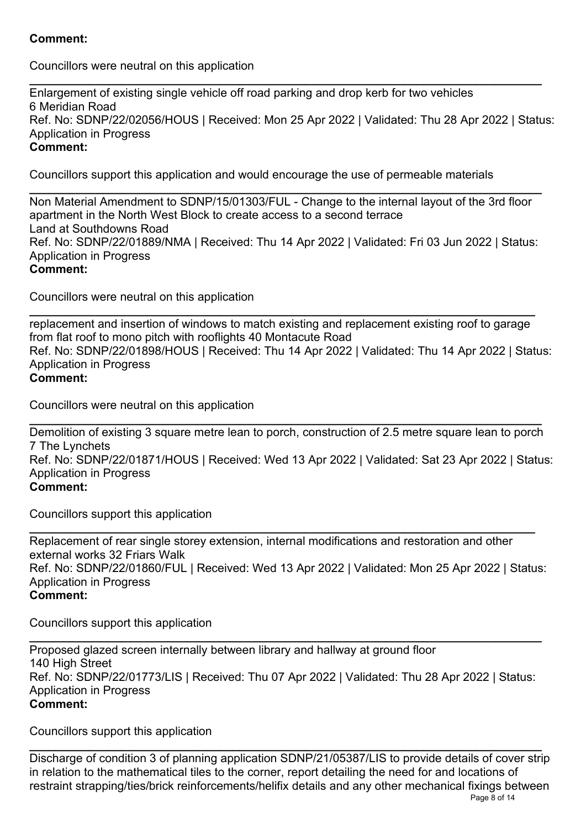# **Comment:**

Councillors were neutral on this application

**\_\_\_\_\_\_\_\_\_\_\_\_\_\_\_\_\_\_\_\_\_\_\_\_\_\_\_\_\_\_\_\_\_\_\_\_\_\_\_\_\_\_\_\_\_\_\_\_\_\_\_\_\_\_\_\_\_\_\_\_\_\_\_\_\_\_\_\_\_\_\_\_\_\_\_\_\_\_** Enlargement of existing single vehicle off road parking and drop kerb for two vehicles 6 Meridian Road Ref. No: SDNP/22/02056/HOUS | Received: Mon 25 Apr 2022 | Validated: Thu 28 Apr 2022 | Status: Application in Progress **Comment:**

Councillors support this application and would encourage the use of permeable materials

**\_\_\_\_\_\_\_\_\_\_\_\_\_\_\_\_\_\_\_\_\_\_\_\_\_\_\_\_\_\_\_\_\_\_\_\_\_\_\_\_\_\_\_\_\_\_\_\_\_\_\_\_\_\_\_\_\_\_\_\_\_\_\_\_\_\_\_\_\_\_\_\_\_\_\_\_\_\_** Non Material Amendment to SDNP/15/01303/FUL - Change to the internal layout of the 3rd floor apartment in the North West Block to create access to a second terrace Land at Southdowns Road Ref. No: SDNP/22/01889/NMA | Received: Thu 14 Apr 2022 | Validated: Fri 03 Jun 2022 | Status: Application in Progress **Comment:**

Councillors were neutral on this application

**\_\_\_\_\_\_\_\_\_\_\_\_\_\_\_\_\_\_\_\_\_\_\_\_\_\_\_\_\_\_\_\_\_\_\_\_\_\_\_\_\_\_\_\_\_\_\_\_\_\_\_\_\_\_\_\_\_\_\_\_\_\_\_\_\_\_\_\_\_\_\_\_\_\_\_\_\_** replacement and insertion of windows to match existing and replacement existing roof to garage from flat roof to mono pitch with rooflights 40 Montacute Road Ref. No: SDNP/22/01898/HOUS | Received: Thu 14 Apr 2022 | Validated: Thu 14 Apr 2022 | Status: Application in Progress **Comment:**

Councillors were neutral on this application

**\_\_\_\_\_\_\_\_\_\_\_\_\_\_\_\_\_\_\_\_\_\_\_\_\_\_\_\_\_\_\_\_\_\_\_\_\_\_\_\_\_\_\_\_\_\_\_\_\_\_\_\_\_\_\_\_\_\_\_\_\_\_\_\_\_\_\_\_\_\_\_\_\_\_\_\_\_\_** Demolition of existing 3 square metre lean to porch, construction of 2.5 metre square lean to porch 7 The Lynchets Ref. No: SDNP/22/01871/HOUS | Received: Wed 13 Apr 2022 | Validated: Sat 23 Apr 2022 | Status: Application in Progress **Comment:**

Councillors support this application

**\_\_\_\_\_\_\_\_\_\_\_\_\_\_\_\_\_\_\_\_\_\_\_\_\_\_\_\_\_\_\_\_\_\_\_\_\_\_\_\_\_\_\_\_\_\_\_\_\_\_\_\_\_\_\_\_\_\_\_\_\_\_\_\_\_\_\_\_\_\_\_\_\_\_\_\_\_** Replacement of rear single storey extension, internal modifications and restoration and other external works 32 Friars Walk Ref. No: SDNP/22/01860/FUL | Received: Wed 13 Apr 2022 | Validated: Mon 25 Apr 2022 | Status: Application in Progress **Comment:**

Councillors support this application

**\_\_\_\_\_\_\_\_\_\_\_\_\_\_\_\_\_\_\_\_\_\_\_\_\_\_\_\_\_\_\_\_\_\_\_\_\_\_\_\_\_\_\_\_\_\_\_\_\_\_\_\_\_\_\_\_\_\_\_\_\_\_\_\_\_\_\_\_\_\_\_\_\_\_\_\_\_\_** Proposed glazed screen internally between library and hallway at ground floor 140 High Street Ref. No: SDNP/22/01773/LIS | Received: Thu 07 Apr 2022 | Validated: Thu 28 Apr 2022 | Status: Application in Progress **Comment:**

Councillors support this application

**\_\_\_\_\_\_\_\_\_\_\_\_\_\_\_\_\_\_\_\_\_\_\_\_\_\_\_\_\_\_\_\_\_\_\_\_\_\_\_\_\_\_\_\_\_\_\_\_\_\_\_\_\_\_\_\_\_\_\_\_\_\_\_\_\_\_\_\_\_\_\_\_\_\_\_\_\_\_** Discharge of condition 3 of planning application SDNP/21/05387/LIS to provide details of cover strip in relation to the mathematical tiles to the corner, report detailing the need for and locations of restraint strapping/ties/brick reinforcements/helifix details and any other mechanical fixings between Page 8 of 14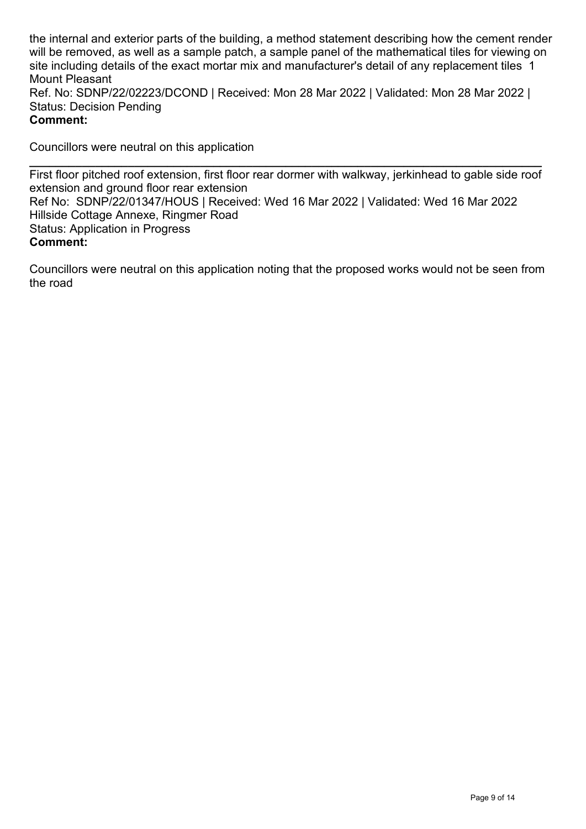the internal and exterior parts of the building, a method statement describing how the cement render will be removed, as well as a sample patch, a sample panel of the mathematical tiles for viewing on site including details of the exact mortar mix and manufacturer's detail of any replacement tiles 1 Mount Pleasant Ref. No: SDNP/22/02223/DCOND | Received: Mon 28 Mar 2022 | Validated: Mon 28 Mar 2022 | Status: Decision Pending **Comment:**

Councillors were neutral on this application

**\_\_\_\_\_\_\_\_\_\_\_\_\_\_\_\_\_\_\_\_\_\_\_\_\_\_\_\_\_\_\_\_\_\_\_\_\_\_\_\_\_\_\_\_\_\_\_\_\_\_\_\_\_\_\_\_\_\_\_\_\_\_\_\_\_\_\_\_\_\_\_\_\_\_\_\_\_\_** First floor pitched roof extension, first floor rear dormer with walkway, jerkinhead to gable side roof extension and ground floor rear extension Ref No: SDNP/22/01347/HOUS | Received: Wed 16 Mar 2022 | Validated: Wed 16 Mar 2022 Hillside Cottage Annexe, Ringmer Road Status: Application in Progress **Comment:**

Councillors were neutral on this application noting that the proposed works would not be seen from the road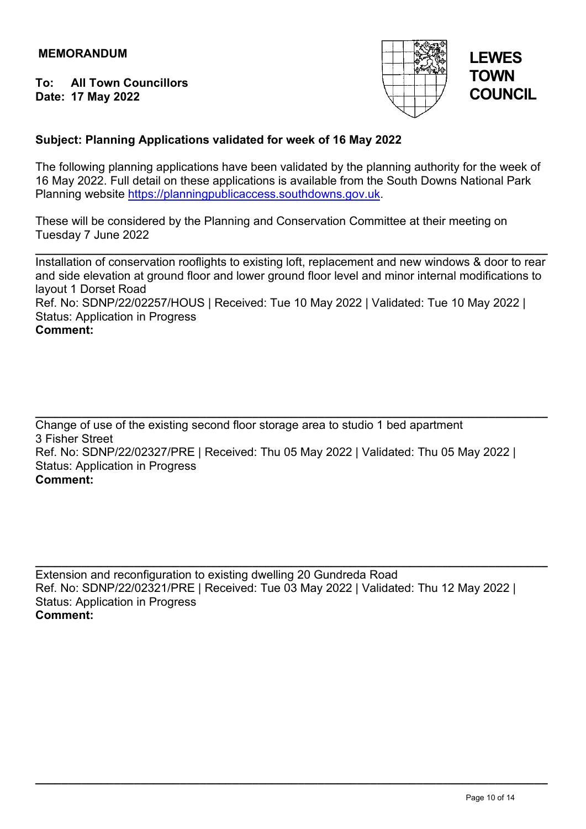**To: All Town Councillors Date: 17 May 2022** 



# **LEWES TOWN COUNCIL**

# **Subject: Planning Applications validated for week of 16 May 2022**

The following planning applications have been validated by the planning authority for the week of 16 May 2022. Full detail on these applications is available from the South Downs National Park Planning website [https://planningpublicaccess.southdowns.gov.uk.](https://planningpublicaccess.southdowns.gov.uk/)

These will be considered by the Planning and Conservation Committee at their meeting on Tuesday 7 June 2022

**\_\_\_\_\_\_\_\_\_\_\_\_\_\_\_\_\_\_\_\_\_\_\_\_\_\_\_\_\_\_\_\_\_\_\_\_\_\_\_\_\_\_\_\_\_\_\_\_\_\_\_\_\_\_\_\_\_\_\_\_\_\_\_\_\_\_\_\_\_\_\_\_\_\_\_\_\_\_** Installation of conservation rooflights to existing loft, replacement and new windows & door to rear and side elevation at ground floor and lower ground floor level and minor internal modifications to layout 1 Dorset Road

Ref. No: SDNP/22/02257/HOUS | Received: Tue 10 May 2022 | Validated: Tue 10 May 2022 | Status: Application in Progress

### **Comment:**

**\_\_\_\_\_\_\_\_\_\_\_\_\_\_\_\_\_\_\_\_\_\_\_\_\_\_\_\_\_\_\_\_\_\_\_\_\_\_\_\_\_\_\_\_\_\_\_\_\_\_\_\_\_\_\_\_\_\_\_\_\_\_\_\_\_\_\_\_\_\_\_\_\_\_\_\_\_\_** Change of use of the existing second floor storage area to studio 1 bed apartment 3 Fisher Street Ref. No: SDNP/22/02327/PRE | Received: Thu 05 May 2022 | Validated: Thu 05 May 2022 | Status: Application in Progress **Comment:**

**\_\_\_\_\_\_\_\_\_\_\_\_\_\_\_\_\_\_\_\_\_\_\_\_\_\_\_\_\_\_\_\_\_\_\_\_\_\_\_\_\_\_\_\_\_\_\_\_\_\_\_\_\_\_\_\_\_\_\_\_\_\_\_\_\_\_\_\_\_\_\_\_\_\_\_\_\_\_** Extension and reconfiguration to existing dwelling 20 Gundreda Road Ref. No: SDNP/22/02321/PRE | Received: Tue 03 May 2022 | Validated: Thu 12 May 2022 | Status: Application in Progress **Comment:**

**\_\_\_\_\_\_\_\_\_\_\_\_\_\_\_\_\_\_\_\_\_\_\_\_\_\_\_\_\_\_\_\_\_\_\_\_\_\_\_\_\_\_\_\_\_\_\_\_\_\_\_\_\_\_\_\_\_\_\_\_\_\_\_\_\_\_\_\_\_\_\_\_\_\_\_\_\_\_**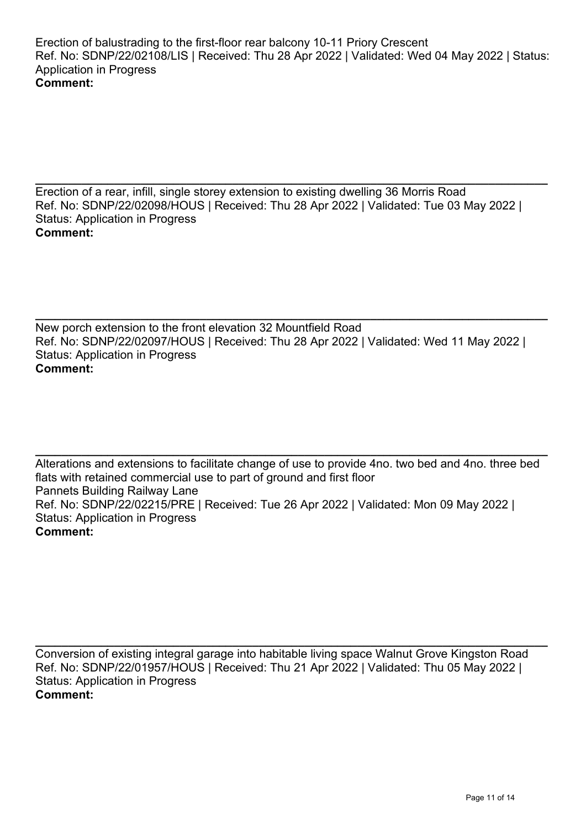**\_\_\_\_\_\_\_\_\_\_\_\_\_\_\_\_\_\_\_\_\_\_\_\_\_\_\_\_\_\_\_\_\_\_\_\_\_\_\_\_\_\_\_\_\_\_\_\_\_\_\_\_\_\_\_\_\_\_\_\_\_\_\_\_\_\_\_\_\_\_\_\_\_\_\_\_\_\_** Erection of a rear, infill, single storey extension to existing dwelling 36 Morris Road Ref. No: SDNP/22/02098/HOUS | Received: Thu 28 Apr 2022 | Validated: Tue 03 May 2022 | Status: Application in Progress **Comment:**

**\_\_\_\_\_\_\_\_\_\_\_\_\_\_\_\_\_\_\_\_\_\_\_\_\_\_\_\_\_\_\_\_\_\_\_\_\_\_\_\_\_\_\_\_\_\_\_\_\_\_\_\_\_\_\_\_\_\_\_\_\_\_\_\_\_\_\_\_\_\_\_\_\_\_\_\_\_\_** New porch extension to the front elevation 32 Mountfield Road Ref. No: SDNP/22/02097/HOUS | Received: Thu 28 Apr 2022 | Validated: Wed 11 May 2022 | Status: Application in Progress **Comment:**

**\_\_\_\_\_\_\_\_\_\_\_\_\_\_\_\_\_\_\_\_\_\_\_\_\_\_\_\_\_\_\_\_\_\_\_\_\_\_\_\_\_\_\_\_\_\_\_\_\_\_\_\_\_\_\_\_\_\_\_\_\_\_\_\_\_\_\_\_\_\_\_\_\_\_\_\_\_\_** Alterations and extensions to facilitate change of use to provide 4no. two bed and 4no. three bed flats with retained commercial use to part of ground and first floor Pannets Building Railway Lane Ref. No: SDNP/22/02215/PRE | Received: Tue 26 Apr 2022 | Validated: Mon 09 May 2022 | Status: Application in Progress **Comment:**

**\_\_\_\_\_\_\_\_\_\_\_\_\_\_\_\_\_\_\_\_\_\_\_\_\_\_\_\_\_\_\_\_\_\_\_\_\_\_\_\_\_\_\_\_\_\_\_\_\_\_\_\_\_\_\_\_\_\_\_\_\_\_\_\_\_\_\_\_\_\_\_\_\_\_\_\_\_\_** Conversion of existing integral garage into habitable living space Walnut Grove Kingston Road Ref. No: SDNP/22/01957/HOUS | Received: Thu 21 Apr 2022 | Validated: Thu 05 May 2022 | Status: Application in Progress **Comment:**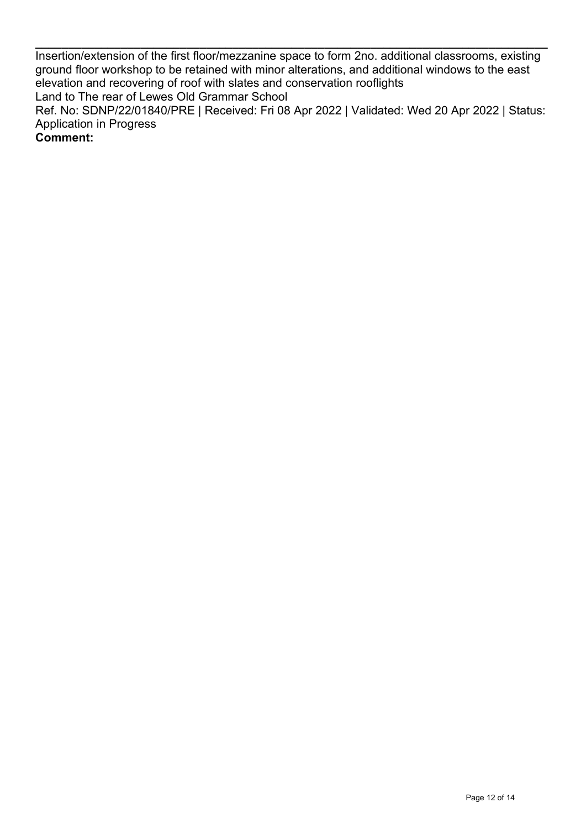Insertion/extension of the first floor/mezzanine space to form 2no. additional classrooms, existing ground floor workshop to be retained with minor alterations, and additional windows to the east elevation and recovering of roof with slates and conservation rooflights Land to The rear of Lewes Old Grammar School Ref. No: SDNP/22/01840/PRE | Received: Fri 08 Apr 2022 | Validated: Wed 20 Apr 2022 | Status: Application in Progress

**\_\_\_\_\_\_\_\_\_\_\_\_\_\_\_\_\_\_\_\_\_\_\_\_\_\_\_\_\_\_\_\_\_\_\_\_\_\_\_\_\_\_\_\_\_\_\_\_\_\_\_\_\_\_\_\_\_\_\_\_\_\_\_\_\_\_\_\_\_\_\_\_\_\_\_\_\_\_**

**Comment:**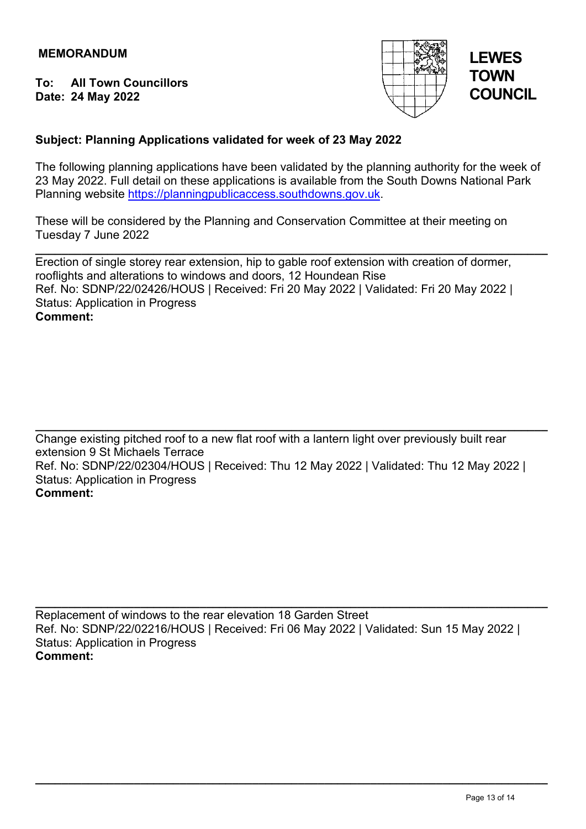**To: All Town Councillors Date: 24 May 2022** 



# **LEWES TOWN COUNCIL**

# **Subject: Planning Applications validated for week of 23 May 2022**

The following planning applications have been validated by the planning authority for the week of 23 May 2022. Full detail on these applications is available from the South Downs National Park Planning website [https://planningpublicaccess.southdowns.gov.uk.](https://planningpublicaccess.southdowns.gov.uk/)

These will be considered by the Planning and Conservation Committee at their meeting on Tuesday 7 June 2022

**\_\_\_\_\_\_\_\_\_\_\_\_\_\_\_\_\_\_\_\_\_\_\_\_\_\_\_\_\_\_\_\_\_\_\_\_\_\_\_\_\_\_\_\_\_\_\_\_\_\_\_\_\_\_\_\_\_\_\_\_\_\_\_\_\_\_\_\_\_\_\_\_\_\_\_\_\_\_** Erection of single storey rear extension, hip to gable roof extension with creation of dormer, rooflights and alterations to windows and doors, 12 Houndean Rise Ref. No: SDNP/22/02426/HOUS | Received: Fri 20 May 2022 | Validated: Fri 20 May 2022 | Status: Application in Progress **Comment:**

**\_\_\_\_\_\_\_\_\_\_\_\_\_\_\_\_\_\_\_\_\_\_\_\_\_\_\_\_\_\_\_\_\_\_\_\_\_\_\_\_\_\_\_\_\_\_\_\_\_\_\_\_\_\_\_\_\_\_\_\_\_\_\_\_\_\_\_\_\_\_\_\_\_\_\_\_\_\_** Change existing pitched roof to a new flat roof with a lantern light over previously built rear extension 9 St Michaels Terrace Ref. No: SDNP/22/02304/HOUS | Received: Thu 12 May 2022 | Validated: Thu 12 May 2022 | Status: Application in Progress **Comment:**

Replacement of windows to the rear elevation 18 Garden Street Ref. No: SDNP/22/02216/HOUS | Received: Fri 06 May 2022 | Validated: Sun 15 May 2022 | Status: Application in Progress **Comment:**

**\_\_\_\_\_\_\_\_\_\_\_\_\_\_\_\_\_\_\_\_\_\_\_\_\_\_\_\_\_\_\_\_\_\_\_\_\_\_\_\_\_\_\_\_\_\_\_\_\_\_\_\_\_\_\_\_\_\_\_\_\_\_\_\_\_\_\_\_\_\_\_\_\_\_\_\_\_\_**

**\_\_\_\_\_\_\_\_\_\_\_\_\_\_\_\_\_\_\_\_\_\_\_\_\_\_\_\_\_\_\_\_\_\_\_\_\_\_\_\_\_\_\_\_\_\_\_\_\_\_\_\_\_\_\_\_\_\_\_\_\_\_\_\_\_\_\_\_\_\_\_\_\_\_\_\_\_\_**